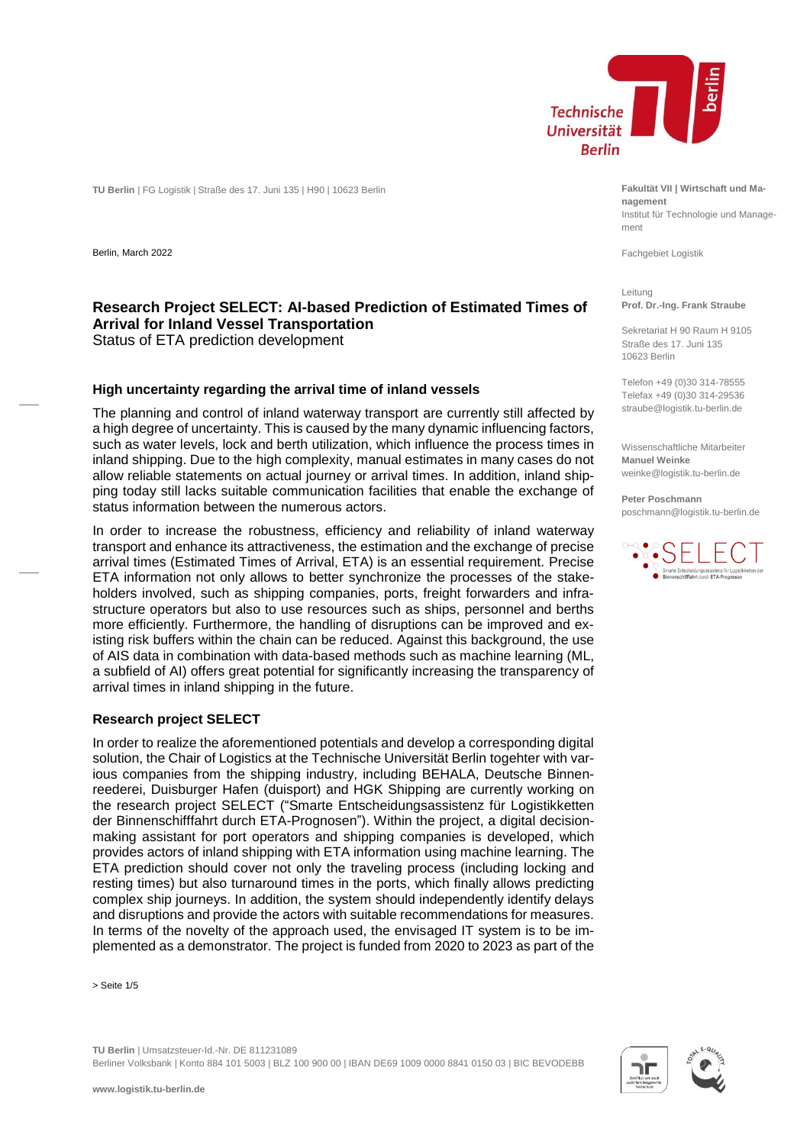

**TU Berlin** | FG Logistik | Straße des 17. Juni 135 | H90 | 10623 Berlin

Berlin, March 2022

## **Research Project SELECT: AI-based Prediction of Estimated Times of Arrival for Inland Vessel Transportation** Status of ETA prediction development

#### **High uncertainty regarding the arrival time of inland vessels**

The planning and control of inland waterway transport are currently still affected by a high degree of uncertainty. This is caused by the many dynamic influencing factors, such as water levels, lock and berth utilization, which influence the process times in inland shipping. Due to the high complexity, manual estimates in many cases do not allow reliable statements on actual journey or arrival times. In addition, inland shipping today still lacks suitable communication facilities that enable the exchange of status information between the numerous actors.

In order to increase the robustness, efficiency and reliability of inland waterway transport and enhance its attractiveness, the estimation and the exchange of precise arrival times (Estimated Times of Arrival, ETA) is an essential requirement. Precise ETA information not only allows to better synchronize the processes of the stakeholders involved, such as shipping companies, ports, freight forwarders and infrastructure operators but also to use resources such as ships, personnel and berths more efficiently. Furthermore, the handling of disruptions can be improved and existing risk buffers within the chain can be reduced. Against this background, the use of AIS data in combination with data-based methods such as machine learning (ML, a subfield of AI) offers great potential for significantly increasing the transparency of arrival times in inland shipping in the future.

#### **Research project SELECT**

In order to realize the aforementioned potentials and develop a corresponding digital solution, the Chair of Logistics at the Technische Universität Berlin togehter with various companies from the shipping industry, including BEHALA, Deutsche Binnenreederei, Duisburger Hafen (duisport) and HGK Shipping are currently working on the research project SELECT ("Smarte Entscheidungsassistenz für Logistikketten der Binnenschifffahrt durch ETA-Prognosen"). Within the project, a digital decisionmaking assistant for port operators and shipping companies is developed, which provides actors of inland shipping with ETA information using machine learning. The ETA prediction should cover not only the traveling process (including locking and resting times) but also turnaround times in the ports, which finally allows predicting complex ship journeys. In addition, the system should independently identify delays and disruptions and provide the actors with suitable recommendations for measures. In terms of the novelty of the approach used, the envisaged IT system is to be implemented as a demonstrator. The project is funded from 2020 to 2023 as part of the

> Seite 1/5

**TU Berlin** | Umsatzsteuer-Id.-Nr. DE 811231089 Berliner Volksbank | Konto 884 101 5003 | BLZ 100 900 00 | IBAN DE69 1009 0000 8841 0150 03 | BIC BEVODEBB **Fakultät VII | Wirtschaft und Management** Institut für Technologie und Management

Fachgebiet Logistik

Leitung **Prof. Dr.-Ing. Frank Straube**

Sekretariat H 90 Raum H 9105 Straße des 17. Juni 135 10623 Berlin

Telefon +49 (0)30 314-78555 Telefax +49 (0)30 314-29536 straube@logistik.tu-berlin.de

Wissenschaftliche Mitarbeiter **Manuel Weinke** weinke@logistik.tu-berlin.de

**Peter Poschmann** poschmann@logistik.tu-berlin.de



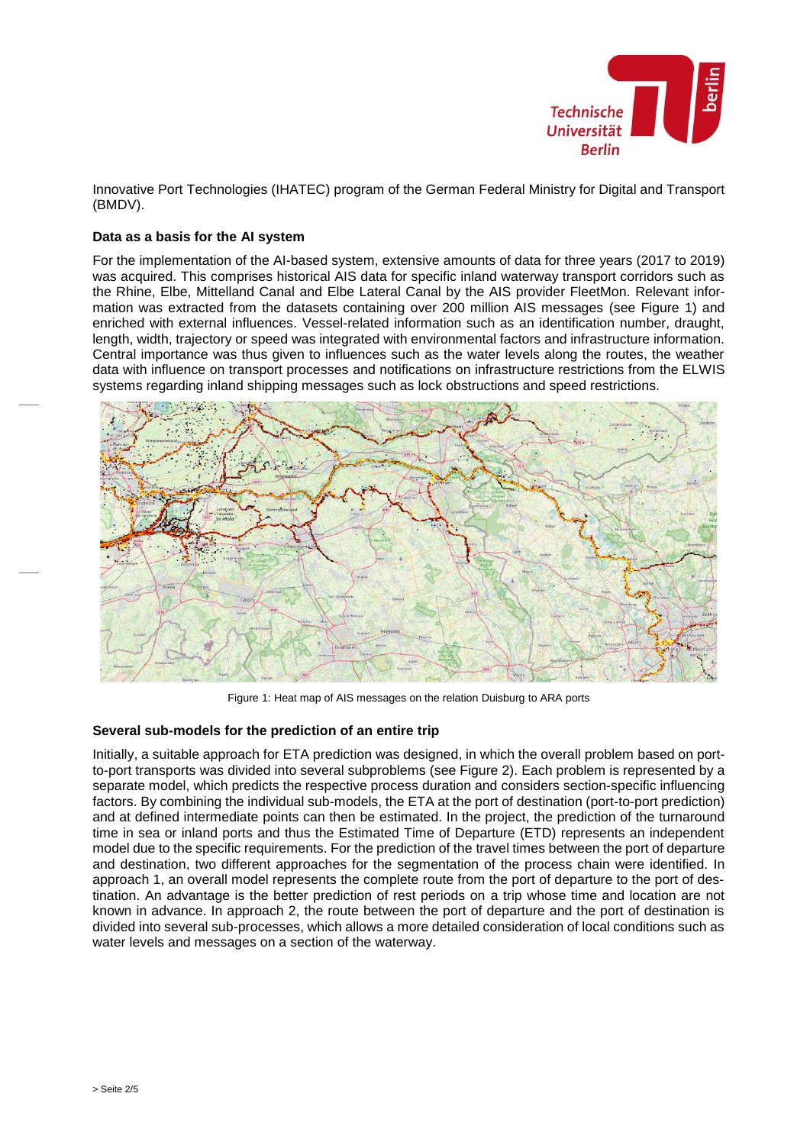

Innovative Port Technologies (IHATEC) program of the German Federal Ministry for Digital and Transport (BMDV).

### **Data as a basis for the AI system**

For the implementation of the AI-based system, extensive amounts of data for three years (2017 to 2019) was acquired. This comprises historical AIS data for specific inland waterway transport corridors such as the Rhine, Elbe, Mittelland Canal and Elbe Lateral Canal by the AIS provider FleetMon. Relevant information was extracted from the datasets containing over 200 million AIS messages (see [Figure 1\)](#page-1-0) and enriched with external influences. Vessel-related information such as an identification number, draught, length, width, trajectory or speed was integrated with environmental factors and infrastructure information. Central importance was thus given to influences such as the water levels along the routes, the weather data with influence on transport processes and notifications on infrastructure restrictions from the ELWIS systems regarding inland shipping messages such as lock obstructions and speed restrictions.



Figure 1: Heat map of AIS messages on the relation Duisburg to ARA ports

### <span id="page-1-0"></span>**Several sub-models for the prediction of an entire trip**

Initially, a suitable approach for ETA prediction was designed, in which the overall problem based on portto-port transports was divided into several subproblems (see [Figure 2\)](#page-2-0). Each problem is represented by a separate model, which predicts the respective process duration and considers section-specific influencing factors. By combining the individual sub-models, the ETA at the port of destination (port-to-port prediction) and at defined intermediate points can then be estimated. In the project, the prediction of the turnaround time in sea or inland ports and thus the Estimated Time of Departure (ETD) represents an independent model due to the specific requirements. For the prediction of the travel times between the port of departure and destination, two different approaches for the segmentation of the process chain were identified. In approach 1, an overall model represents the complete route from the port of departure to the port of destination. An advantage is the better prediction of rest periods on a trip whose time and location are not known in advance. In approach 2, the route between the port of departure and the port of destination is divided into several sub-processes, which allows a more detailed consideration of local conditions such as water levels and messages on a section of the waterway.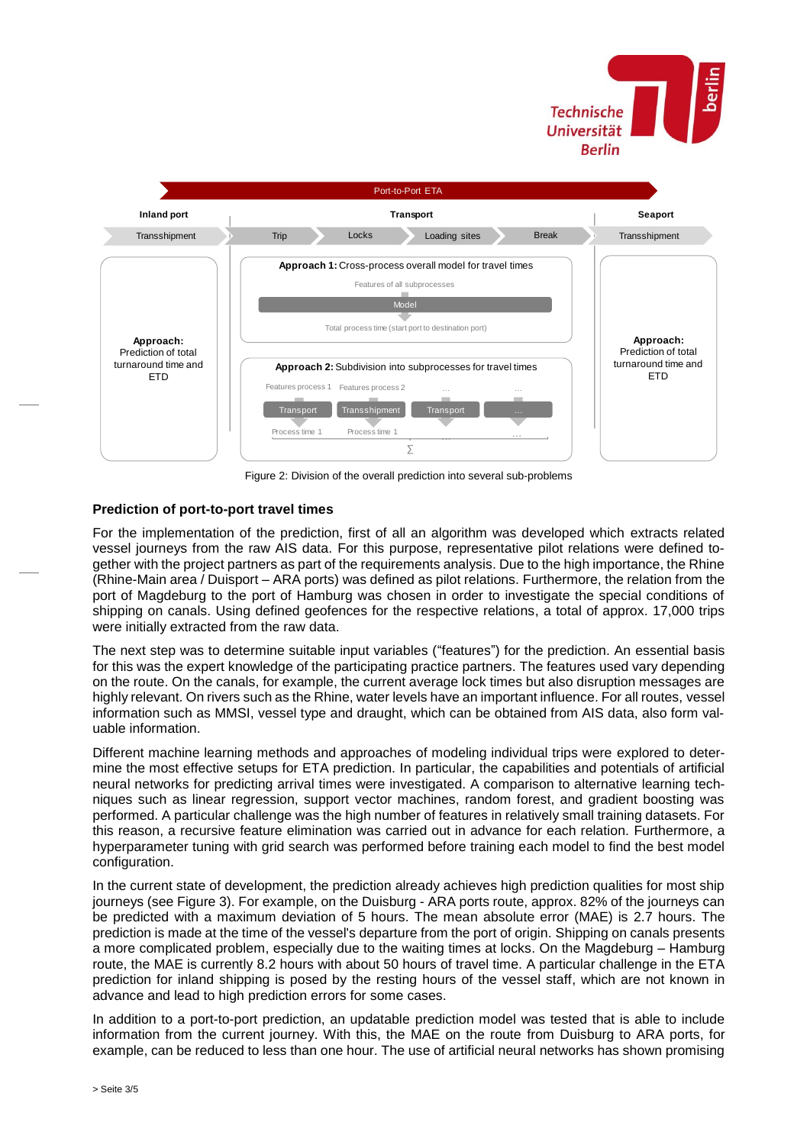



Figure 2: Division of the overall prediction into several sub-problems

# <span id="page-2-0"></span>**Prediction of port-to-port travel times**

For the implementation of the prediction, first of all an algorithm was developed which extracts related vessel journeys from the raw AIS data. For this purpose, representative pilot relations were defined together with the project partners as part of the requirements analysis. Due to the high importance, the Rhine (Rhine-Main area / Duisport – ARA ports) was defined as pilot relations. Furthermore, the relation from the port of Magdeburg to the port of Hamburg was chosen in order to investigate the special conditions of shipping on canals. Using defined geofences for the respective relations, a total of approx. 17,000 trips were initially extracted from the raw data.

The next step was to determine suitable input variables ("features") for the prediction. An essential basis for this was the expert knowledge of the participating practice partners. The features used vary depending on the route. On the canals, for example, the current average lock times but also disruption messages are highly relevant. On rivers such as the Rhine, water levels have an important influence. For all routes, vessel information such as MMSI, vessel type and draught, which can be obtained from AIS data, also form valuable information.

Different machine learning methods and approaches of modeling individual trips were explored to determine the most effective setups for ETA prediction. In particular, the capabilities and potentials of artificial neural networks for predicting arrival times were investigated. A comparison to alternative learning techniques such as linear regression, support vector machines, random forest, and gradient boosting was performed. A particular challenge was the high number of features in relatively small training datasets. For this reason, a recursive feature elimination was carried out in advance for each relation. Furthermore, a hyperparameter tuning with grid search was performed before training each model to find the best model configuration.

In the current state of development, the prediction already achieves high prediction qualities for most ship journeys (see [Figure 3\)](#page-3-0). For example, on the Duisburg - ARA ports route, approx. 82% of the journeys can be predicted with a maximum deviation of 5 hours. The mean absolute error (MAE) is 2.7 hours. The prediction is made at the time of the vessel's departure from the port of origin. Shipping on canals presents a more complicated problem, especially due to the waiting times at locks. On the Magdeburg – Hamburg route, the MAE is currently 8.2 hours with about 50 hours of travel time. A particular challenge in the ETA prediction for inland shipping is posed by the resting hours of the vessel staff, which are not known in advance and lead to high prediction errors for some cases.

In addition to a port-to-port prediction, an updatable prediction model was tested that is able to include information from the current journey. With this, the MAE on the route from Duisburg to ARA ports, for example, can be reduced to less than one hour. The use of artificial neural networks has shown promising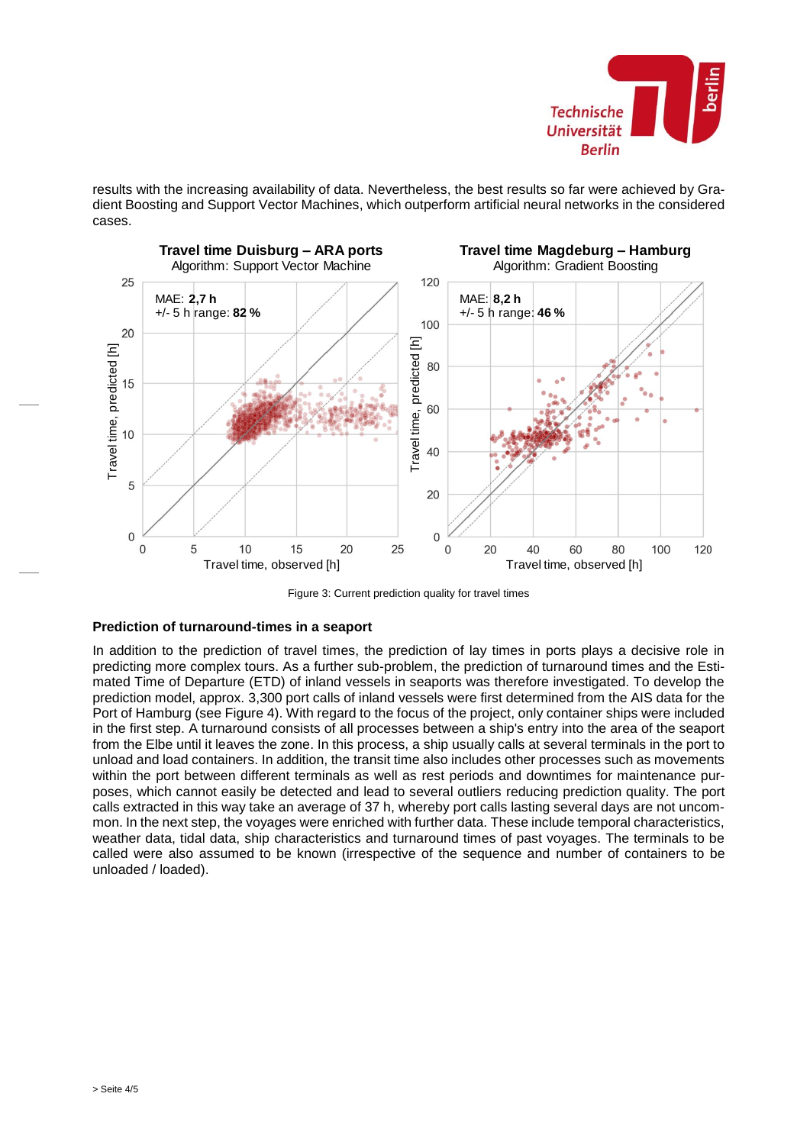

results with the increasing availability of data. Nevertheless, the best results so far were achieved by Gradient Boosting and Support Vector Machines, which outperform artificial neural networks in the considered cases.



Figure 3: Current prediction quality for travel times

# <span id="page-3-0"></span>**Prediction of turnaround-times in a seaport**

In addition to the prediction of travel times, the prediction of lay times in ports plays a decisive role in predicting more complex tours. As a further sub-problem, the prediction of turnaround times and the Estimated Time of Departure (ETD) of inland vessels in seaports was therefore investigated. To develop the prediction model, approx. 3,300 port calls of inland vessels were first determined from the AIS data for the Port of Hamburg (see [Figure 4\)](#page-4-0). With regard to the focus of the project, only container ships were included in the first step. A turnaround consists of all processes between a ship's entry into the area of the seaport from the Elbe until it leaves the zone. In this process, a ship usually calls at several terminals in the port to unload and load containers. In addition, the transit time also includes other processes such as movements within the port between different terminals as well as rest periods and downtimes for maintenance purposes, which cannot easily be detected and lead to several outliers reducing prediction quality. The port calls extracted in this way take an average of 37 h, whereby port calls lasting several days are not uncommon. In the next step, the voyages were enriched with further data. These include temporal characteristics, weather data, tidal data, ship characteristics and turnaround times of past voyages. The terminals to be called were also assumed to be known (irrespective of the sequence and number of containers to be unloaded / loaded).